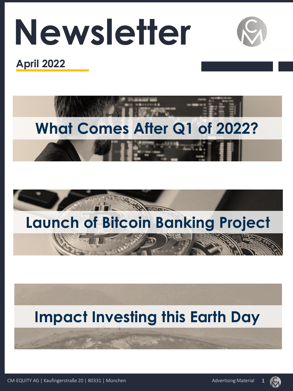# **Newsletter**



# **April 2022**







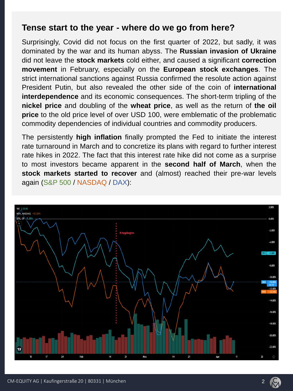#### **Tense start to the year - where do we go from here?**

Surprisingly, Covid did not focus on the first quarter of 2022, but sadly, it was dominated by the war and its human abyss. The **Russian invasion of Ukraine** did not leave the **stock markets** cold either, and caused a significant **correction movement** in February, especially on the **European stock exchanges**. The strict international sanctions against Russia confirmed the resolute action against President Putin, but also revealed the other side of the coin of **international interdependence** and its economic consequences. The short-term tripling of the **nickel price** and doubling of the **wheat price**, as well as the return of **the oil price** to the old price level of over USD 100, were emblematic of the problematic commodity dependencies of individual countries and commodity producers.

The persistently **high inflation** finally prompted the Fed to initiate the interest rate turnaround in March and to concretize its plans with regard to further interest rate hikes in 2022. The fact that this interest rate hike did not come as a surprise to most investors became apparent in the **second half of March**, when the **stock markets started to recover** and (almost) reached their pre-war levels again (S&P 500 / NASDAQ / DAX):

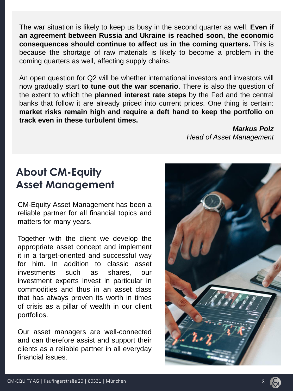The war situation is likely to keep us busy in the second quarter as well. **Even if an agreement between Russia and Ukraine is reached soon, the economic consequences should continue to affect us in the coming quarters.** This is because the shortage of raw materials is likely to become a problem in the coming quarters as well, affecting supply chains.

An open question for Q2 will be whether international investors and investors will now gradually start **to tune out the war scenario**. There is also the question of the extent to which the **planned interest rate steps** by the Fed and the central banks that follow it are already priced into current prices. One thing is certain: **market risks remain high and require a deft hand to keep the portfolio on track even in these turbulent times.**

> *Markus Polz Head of Asset Management*

# **About CM-Equity Asset Management**

CM-Equity Asset Management has been a reliable partner for all financial topics and matters for many years.

Together with the client we develop the appropriate asset concept and implement it in a target-oriented and successful way for him. In addition to classic asset investments such as shares, our investment experts invest in particular in commodities and thus in an asset class that has always proven its worth in times of crisis as a pillar of wealth in our client portfolios.

Our asset managers are well-connected and can therefore assist and support their clients as a reliable partner in all everyday financial issues.



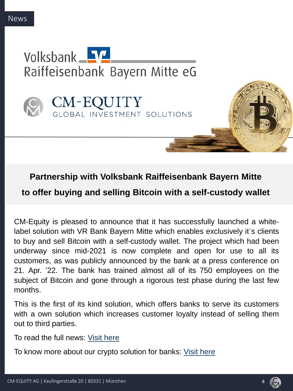



#### **Partnership with Volksbank Raiffeisenbank Bayern Mitte**

**to offer buying and selling Bitcoin with a self-custody wallet**

CM-Equity is pleased to announce that it has successfully launched a whitelabel solution with VR Bank Bayern Mitte which enables exclusively it´s clients to buy and sell Bitcoin with a self-custody wallet. The project which had been underway since mid-2021 is now complete and open for use to all its customers, as was publicly announced by the bank at a press conference on 21. Apr. '22. The bank has trained almost all of its 750 employees on the subject of Bitcoin and gone through a rigorous test phase during the last few months.

This is the first of its kind solution, which offers banks to serve its customers with a own solution which increases customer loyalty instead of selling them out to third parties.

To read the full news: Visit [here](https://www.br.de/nachrichten/amp/wirtschaft/regionalbank-wird-zum-bitcoin-dienstleister,T40M6v0)

To know more about our crypto solution for banks: Visit [here](https://cm-equity.de/en/bitcoin-and-crypto-for-banks/)

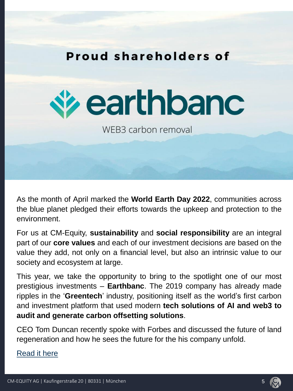



WFB3 carbon removal

As the month of April marked the **World Earth Day 2022**, communities across the blue planet pledged their efforts towards the upkeep and protection to the environment.

For us at CM-Equity, **sustainability** and **social responsibility** are an integral part of our **core values** and each of our investment decisions are based on the value they add, not only on a financial level, but also an intrinsic value to our society and ecosystem at large.

This year, we take the opportunity to bring to the spotlight one of our most prestigious investments – **Earthbanc**. The 2019 company has already made ripples in the '**Greentech**' industry, positioning itself as the world's first carbon and investment platform that used modern **tech solutions of AI and web3 to audit and generate carbon offsetting solutions**.

CEO Tom Duncan recently spoke with Forbes and discussed the future of land regeneration and how he sees the future for the his company unfold.

[Read](https://www.forbes.com/sites/mariannelehnis/2022/04/25/this-climate-fintech-startup-is-paving-the-way-for-mass-market-adoption-of-land-regeneration/?sh=95fcdaa5ea43) it here

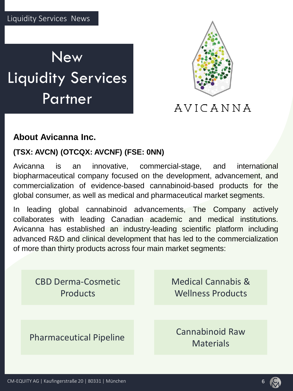



# AVICANNA

### **About Avicanna Inc.**

#### **(TSX: AVCN) (OTCQX: AVCNF) (FSE: 0NN)**

Avicanna is an innovative, commercial-stage, and international biopharmaceutical company focused on the development, advancement, and commercialization of evidence-based cannabinoid-based products for the global consumer, as well as medical and pharmaceutical market segments.

In leading global cannabinoid advancements, The Company actively collaborates with leading Canadian academic and medical institutions. Avicanna has established an industry-leading scientific platform including advanced R&D and clinical development that has led to the commercialization of more than thirty products across four main market segments:

CBD Derma-Cosmetic Products Medical Cannabis & Wellness Products Pharmaceutical Pipeline Cannabinoid Raw **Materials** 

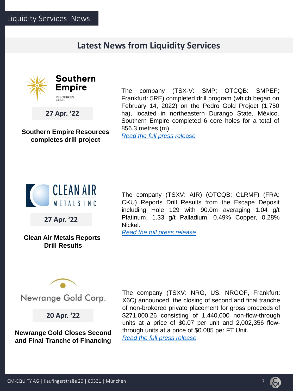#### **Latest News from Liquidity Services**



**27 Apr. '22**

**Southern Empire Resources completes drill project**

The company (TSX-V: SMP; OTCQB: SMPEF; Frankfurt: 5RE) completed drill program (which began on February 14, 2022) on the Pedro Gold Project (1,750 ha), located in northeastern Durango State, México. Southern Empire completed 6 core holes for a total of 856.3 metres (m).

*Read the full press [release](https://commanderresources.com/investors/news/2022/commander-partner-southern-empire-provides-results-from-drilling-at-the-pedro-gold-project-durango-mexico)*



**27 Apr. '22**

**Clean Air Metals Reports Drill Results** 

The company (TSXV: AIR) (OTCQB: CLRMF) (FRA: CKU) Reports Drill Results from the Escape Deposit including Hole 129 with 90.0m averaging 1.04 g/t Platinum, 1.33 g/t Palladium, 0.49% Copper, 0.28% Nickel.

*Read the full press [release](https://www.cleanairmetals.ca/news-media/news-releases/clean-air-metals-reports-drill-results-from-the-es-122550/)*



Newrange Gold Corp.

**20 Apr. '22**

**Newrange Gold Closes Second and Final Tranche of Financing** The company (TSXV: NRG, US: NRGOF, Frankfurt: X6C) announced the closing of second and final tranche of non-brokered private placement for gross proceeds of \$271,000.26 consisting of 1,440,000 non-flow-through units at a price of \$0.07 per unit and 2,002,356 flowthrough units at a price of \$0.085 per FT Unit. *Read the full press [release](https://newrangegold.com/news/news-releases/2022/newrange-gold-closes-second-and-final-tranche-of-flow-through-and-non-flow-through-financing/https:/newrangegold.com/news/news-releases/2022/newrange-gold-closes-second-and-final-tranche-of-flow-through-and-non-flow-through-financing/)*